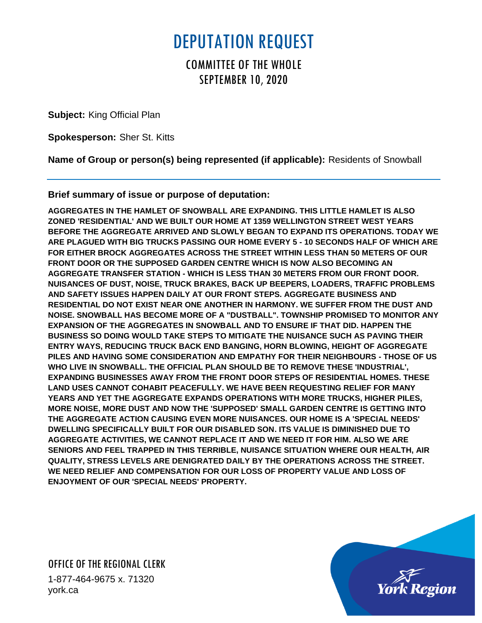## DEPUTATION REQUEST

## COMMITTEE OF THE WHOLE SEPTEMBER 10, 2020

**Subject:** King Official Plan

**Spokesperson:** Sher St. Kitts

**Name of Group or person(s) being represented (if applicable):** Residents of Snowball

**Brief summary of issue or purpose of deputation:**

**AGGREGATES IN THE HAMLET OF SNOWBALL ARE EXPANDING. THIS LITTLE HAMLET IS ALSO ZONED 'RESIDENTIAL' AND WE BUILT OUR HOME AT 1359 WELLINGTON STREET WEST YEARS BEFORE THE AGGREGATE ARRIVED AND SLOWLY BEGAN TO EXPAND ITS OPERATIONS. TODAY WE ARE PLAGUED WITH BIG TRUCKS PASSING OUR HOME EVERY 5 - 10 SECONDS HALF OF WHICH ARE FOR EITHER BROCK AGGREGATES ACROSS THE STREET WITHIN LESS THAN 50 METERS OF OUR FRONT DOOR OR THE SUPPOSED GARDEN CENTRE WHICH IS NOW ALSO BECOMING AN AGGREGATE TRANSFER STATION - WHICH IS LESS THAN 30 METERS FROM OUR FRONT DOOR. NUISANCES OF DUST, NOISE, TRUCK BRAKES, BACK UP BEEPERS, LOADERS, TRAFFIC PROBLEMS AND SAFETY ISSUES HAPPEN DAILY AT OUR FRONT STEPS. AGGREGATE BUSINESS AND RESIDENTIAL DO NOT EXIST NEAR ONE ANOTHER IN HARMONY. WE SUFFER FROM THE DUST AND NOISE. SNOWBALL HAS BECOME MORE OF A "DUSTBALL". TOWNSHIP PROMISED TO MONITOR ANY EXPANSION OF THE AGGREGATES IN SNOWBALL AND TO ENSURE IF THAT DID. HAPPEN THE BUSINESS SO DOING WOULD TAKE STEPS TO MITIGATE THE NUISANCE SUCH AS PAVING THEIR ENTRY WAYS, REDUCING TRUCK BACK END BANGING, HORN BLOWING, HEIGHT OF AGGREGATE PILES AND HAVING SOME CONSIDERATION AND EMPATHY FOR THEIR NEIGHBOURS - THOSE OF US WHO LIVE IN SNOWBALL. THE OFFICIAL PLAN SHOULD BE TO REMOVE THESE 'INDUSTRIAL', EXPANDING BUSINESSES AWAY FROM THE FRONT DOOR STEPS OF RESIDENTIAL HOMES. THESE LAND USES CANNOT COHABIT PEACEFULLY. WE HAVE BEEN REQUESTING RELIEF FOR MANY YEARS AND YET THE AGGREGATE EXPANDS OPERATIONS WITH MORE TRUCKS, HIGHER PILES, MORE NOISE, MORE DUST AND NOW THE 'SUPPOSED' SMALL GARDEN CENTRE IS GETTING INTO THE AGGREGATE ACTION CAUSING EVEN MORE NUISANCES. OUR HOME IS A 'SPECIAL NEEDS' DWELLING SPECIFICALLY BUILT FOR OUR DISABLED SON. ITS VALUE IS DIMINISHED DUE TO AGGREGATE ACTIVITIES, WE CANNOT REPLACE IT AND WE NEED IT FOR HIM. ALSO WE ARE SENIORS AND FEEL TRAPPED IN THIS TERRIBLE, NUISANCE SITUATION WHERE OUR HEALTH, AIR QUALITY, STRESS LEVELS ARE DENIGRATED DAILY BY THE OPERATIONS ACROSS THE STREET. WE NEED RELIEF AND COMPENSATION FOR OUR LOSS OF PROPERTY VALUE AND LOSS OF ENJOYMENT OF OUR 'SPECIAL NEEDS' PROPERTY.** 

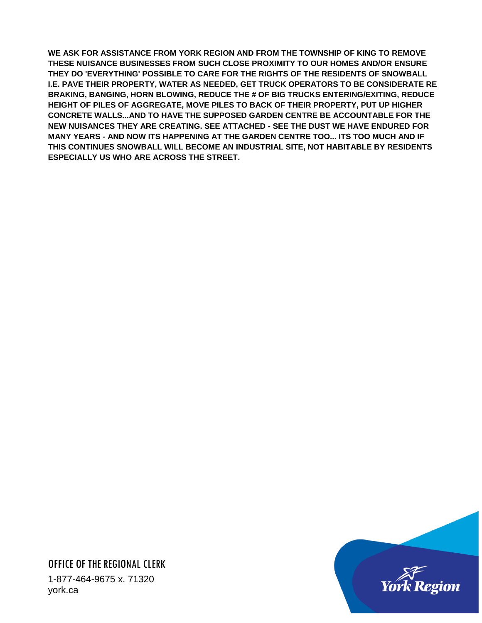**WE ASK FOR ASSISTANCE FROM YORK REGION AND FROM THE TOWNSHIP OF KING TO REMOVE THESE NUISANCE BUSINESSES FROM SUCH CLOSE PROXIMITY TO OUR HOMES AND/OR ENSURE THEY DO 'EVERYTHING' POSSIBLE TO CARE FOR THE RIGHTS OF THE RESIDENTS OF SNOWBALL I.E. PAVE THEIR PROPERTY, WATER AS NEEDED, GET TRUCK OPERATORS TO BE CONSIDERATE RE BRAKING, BANGING, HORN BLOWING, REDUCE THE # OF BIG TRUCKS ENTERING/EXITING, REDUCE HEIGHT OF PILES OF AGGREGATE, MOVE PILES TO BACK OF THEIR PROPERTY, PUT UP HIGHER CONCRETE WALLS...AND TO HAVE THE SUPPOSED GARDEN CENTRE BE ACCOUNTABLE FOR THE NEW NUISANCES THEY ARE CREATING. SEE ATTACHED - SEE THE DUST WE HAVE ENDURED FOR MANY YEARS - AND NOW ITS HAPPENING AT THE GARDEN CENTRE TOO... ITS TOO MUCH AND IF THIS CONTINUES SNOWBALL WILL BECOME AN INDUSTRIAL SITE, NOT HABITABLE BY RESIDENTS ESPECIALLY US WHO ARE ACROSS THE STREET.**

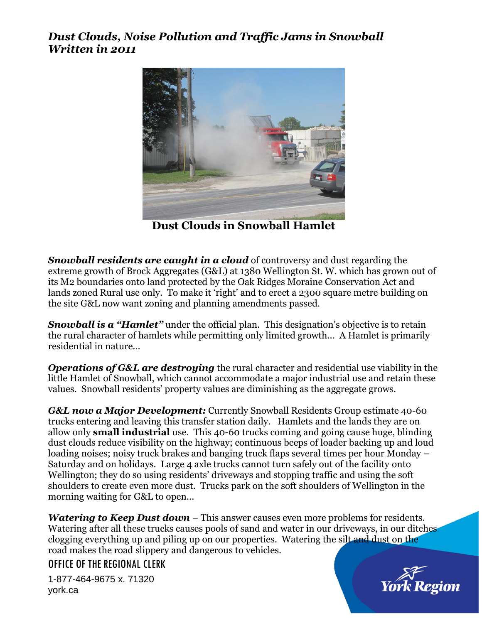## *Dust Clouds, Noise Pollution and Traffic Jams in Snowball Written in 2011*



**Dust Clouds in Snowball Hamlet**

*Snowball residents are caught in a cloud* of controversy and dust regarding the extreme growth of Brock Aggregates (G&L) at 1380 Wellington St. W. which has grown out of its M2 boundaries onto land protected by the Oak Ridges Moraine Conservation Act and lands zoned Rural use only. To make it 'right' and to erect a 2300 square metre building on the site G&L now want zoning and planning amendments passed.

**Snowball is a "Hamlet"** under the official plan. This designation's objective is to retain the rural character of hamlets while permitting only limited growth... A Hamlet is primarily residential in nature...

*Operations of G&L are destroying* the rural character and residential use viability in the little Hamlet of Snowball, which cannot accommodate a major industrial use and retain these values. Snowball residents' property values are diminishing as the aggregate grows.

*G&L now a Major Development:* Currently Snowball Residents Group estimate 40-60 trucks entering and leaving this transfer station daily. Hamlets and the lands they are on allow only **small industrial** use. This 40-60 trucks coming and going cause huge, blinding dust clouds reduce visibility on the highway; continuous beeps of loader backing up and loud loading noises; noisy truck brakes and banging truck flaps several times per hour Monday – Saturday and on holidays. Large 4 axle trucks cannot turn safely out of the facility onto Wellington; they do so using residents' driveways and stopping traffic and using the soft shoulders to create even more dust. Trucks park on the soft shoulders of Wellington in the morning waiting for G&L to open...

*Watering to Keep Dust down* – This answer causes even more problems for residents. Watering after all these trucks causes pools of sand and water in our driveways, in our ditches clogging everything up and piling up on our properties. Watering the silt and dust on the road makes the road slippery and dangerous to vehicles.